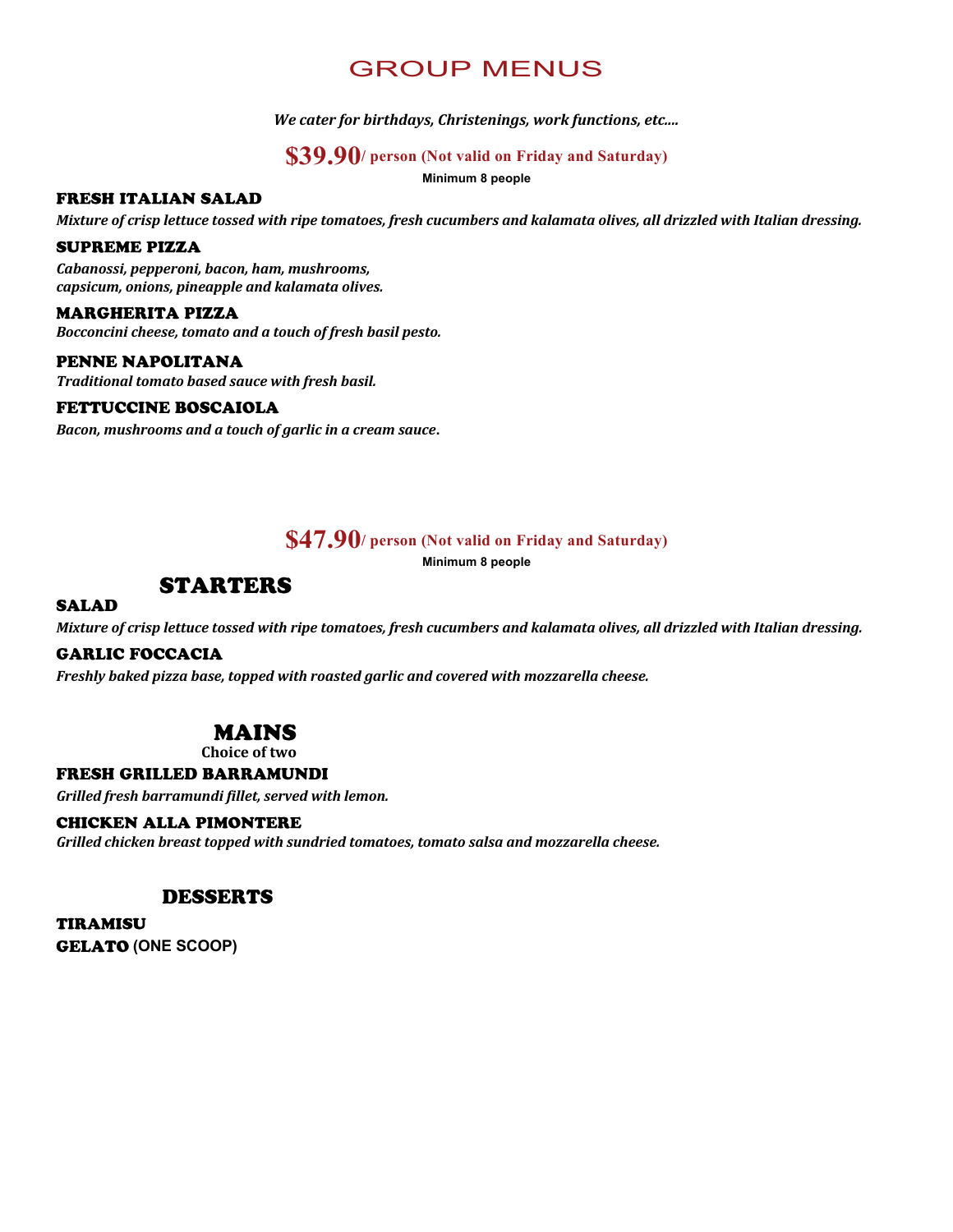# GROUP MENUS

We cater for birthdays, Christenings, work functions, etc....

### **\$39.90/ person (Not valid on Friday and Saturday)**

**Minimum 8 people**

#### **FRESH ITALIAN SALAD**

*Mixture of crisp lettuce tossed with ripe tomatoes, fresh cucumbers and kalamata olives, all drizzled with Italian dressing.* 

#### **SUPREME PIZZA**

*Cabanossi, pepperoni, bacon, ham, mushrooms, capsicum, onions, pineapple and kalamata olives.*

#### **MARGHERITA PIZZA**

**Bocconcini cheese, tomato and a touch of fresh basil pesto.** 

### PENNE NAPOLITANA

**Traditional tomato based sauce with fresh basil.** 

#### **FETTUCCINE BOSCAIOLA**

Bacon, mushrooms and a touch of garlic in a cream sauce.

### **\$47.90/ person (Not valid on Friday and Saturday)**

**Minimum 8 people**

## **STARTERS**

#### **SALAD**

*Mixture of crisp lettuce tossed with ripe tomatoes, fresh cucumbers and kalamata olives, all drizzled with Italian dressing.* 

#### **GARLIC FOCCACIA**

*Freshly baked pizza base, topped with roasted garlic and covered with mozzarella cheese.*

## **MAINS**

**Choice** of two

#### **FRESH GRILLED BARRAMUNDI**

*Grilled fresh barramundi fillet, served with lemon.*

#### **CHICKEN ALLA PIMONTERE**

Grilled chicken breast topped with sundried tomatoes, tomato salsa and mozzarella cheese.

### **DESSERTS**

**TIRAMISU GELATO (ONE SCOOP)**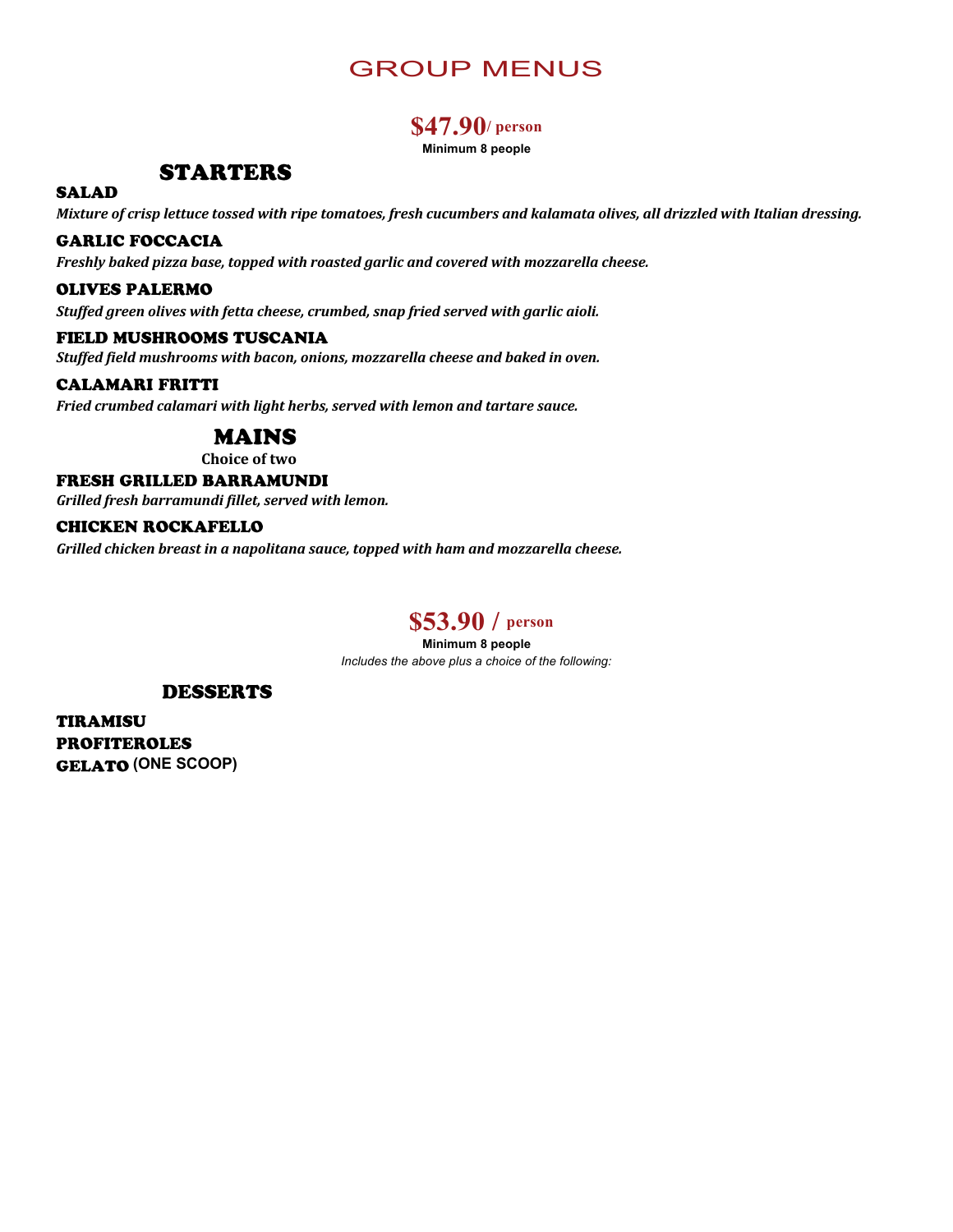# GROUP MENUS

## **\$47.90/ person**

**Minimum 8 people**

## **STARTERS**

## **SALAD**

*Mixture of crisp lettuce tossed with ripe tomatoes, fresh cucumbers and kalamata olives, all drizzled with Italian dressing.* 

#### **GARLIC FOCCACIA**

*Freshly baked pizza base, topped with roasted garlic and covered with mozzarella cheese.* 

#### **OLIVES PALERMO**

Stuffed green olives with fetta cheese, crumbed, snap fried served with garlic aioli.

#### FIELD MUSHROOMS TUSCANIA

Stuffed field mushrooms with bacon, onions, mozzarella cheese and baked in oven.

#### **CALAMARI FRITTI**

Fried crumbed calamari with light herbs, served with lemon and tartare sauce.

## **MAINS**

**Choice** of two

#### FRESH GRILLED BARRAMUNDI

*Grilled fresh barramundi fillet, served with lemon.*

#### **CHICKEN ROCKAFELLO**

*Grilled chicken breast in a napolitana sauce, topped with ham and mozzarella cheese.* 

## **\$53.90 / person**

**Minimum 8 people** *Includes the above plus a choice of the following:*

#### **DESSERTS**

**TIRAMISU PROFITEROLES (ONE SCOOP)**